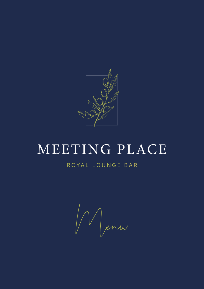

# MEETING PLACE

Menu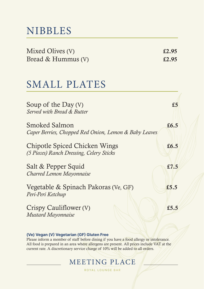# NIBBLES

| Mixed Olives (V)   | £2.95 |
|--------------------|-------|
| Bread & Hummus (V) | £2.95 |

## SMALL PLATES

| Soup of the Day $(V)$<br>Served with Bread & Butter                       | £5      |
|---------------------------------------------------------------------------|---------|
| Smoked Salmon<br>Caper Berries, Chopped Red Onion, Lemon & Baby Leaves    | £6.5    |
| Chipotle Spiced Chicken Wings<br>(5 Pieces) Ranch Dressing, Celery Sticks | £ $6.5$ |
| Salt & Pepper Squid<br>Charred Lemon Mayonnaise                           | £7.5    |
| Vegetable & Spinach Pakoras (Ve, GF)<br>Peri-Peri Ketchup                 | £5.5    |
| Crispy Cauliflower (V)<br><b>Mustard Mayonnaise</b>                       | £5.5    |

#### **(Ve) Vegan (V) Vegetarian (GF) Gluten Free**

Please inform a member of staff before dining if you have a food allergy or intolerance. All food is prepared in an area where allergens are present. All prices include VAT at the current rate. A discretionary service charge of 10% will be added to all orders.

### MEETING PLACE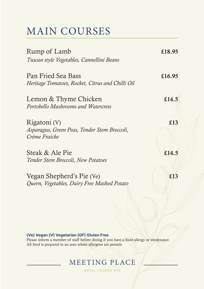# MAIN COURSES

| Rump of Lamb                                                                  | £18.95 |
|-------------------------------------------------------------------------------|--------|
| Tuscan style Vegetables, Cannellini Beans                                     |        |
| Pan Fried Sea Bass<br>Heritage Tomatoes, Rocket, Citrus and Chilli Oil        | £16.95 |
| Lemon & Thyme Chicken<br>Portobello Mushrooms and Watercress                  | £14.5  |
| Rigatoni (V)<br>Asparagus, Green Peas, Tender Stem Broccoli,<br>Crème Fraiche | £13    |
| Steak & Ale Pie<br>Tender Stem Broccoli, New Potatoes                         | £14.5  |
| Vegan Shepherd's Pie (Ve)<br>Quorn, Vegetables, Dairy Free Mashed Potato      | £13    |

#### **(Ve) Vegan (V) Vegetarian (GF) Gluten Free**

Please inform a member of staff before dining if you have a food allergy or intolerance. All food is prepared in an area where allergens are present.

### MEETING PLACE